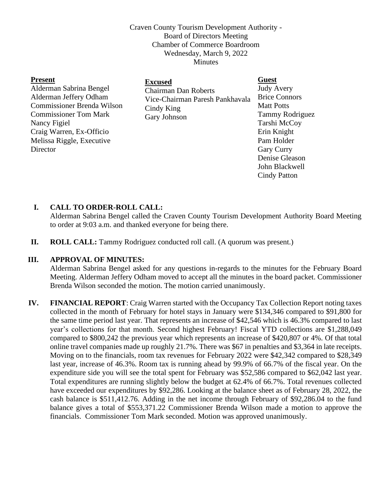Craven County Tourism Development Authority - Board of Directors Meeting Chamber of Commerce Boardroom Wednesday, March 9, 2022 Minutes

| <b>Present</b>                    | <b>Excused</b>                                                                               | <b>Guest</b>         |
|-----------------------------------|----------------------------------------------------------------------------------------------|----------------------|
| Alderman Sabrina Bengel           | <b>Chairman Dan Roberts</b><br>Vice-Chairman Paresh Pankhavala<br>Cindy King<br>Gary Johnson | <b>Judy Avery</b>    |
| Alderman Jeffery Odham            |                                                                                              | <b>Brice Connors</b> |
| <b>Commissioner Brenda Wilson</b> |                                                                                              | <b>Matt Potts</b>    |
| <b>Commissioner Tom Mark</b>      |                                                                                              | Tammy Rodriguez      |
| Nancy Figiel                      |                                                                                              | Tarshi McCoy         |
| Craig Warren, Ex-Officio          |                                                                                              | Erin Knight          |
| Melissa Riggle, Executive         |                                                                                              | Pam Holder           |
| Director                          |                                                                                              | <b>Gary Curry</b>    |
|                                   |                                                                                              | Denise Gleason       |
|                                   |                                                                                              | John Blackwell       |
|                                   |                                                                                              | Cindy Patton         |

## **I. CALL TO ORDER-ROLL CALL:**

Alderman Sabrina Bengel called the Craven County Tourism Development Authority Board Meeting to order at 9:03 a.m. and thanked everyone for being there.

**II. ROLL CALL:** Tammy Rodriguez conducted roll call. (A quorum was present.)

### **III. APPROVAL OF MINUTES:**

Alderman Sabrina Bengel asked for any questions in-regards to the minutes for the February Board Meeting. Alderman Jeffery Odham moved to accept all the minutes in the board packet. Commissioner Brenda Wilson seconded the motion. The motion carried unanimously.

**IV. FINANCIAL REPORT**: Craig Warren started with the Occupancy Tax Collection Report noting taxes collected in the month of February for hotel stays in January were \$134,346 compared to \$91,800 for the same time period last year. That represents an increase of \$42,546 which is 46.3% compared to last year's collections for that month. Second highest February! Fiscal YTD collections are \$1,288,049 compared to \$800,242 the previous year which represents an increase of \$420,807 or 4%. Of that total online travel companies made up roughly 21.7%. There was \$67 in penalties and \$3,364 in late receipts. Moving on to the financials, room tax revenues for February 2022 were \$42,342 compared to \$28,349 last year, increase of 46.3%. Room tax is running ahead by 99.9% of 66.7% of the fiscal year. On the expenditure side you will see the total spent for February was \$52,586 compared to \$62,042 last year. Total expenditures are running slightly below the budget at 62.4% of 66.7%. Total revenues collected have exceeded our expenditures by \$92,286. Looking at the balance sheet as of February 28, 2022, the cash balance is \$511,412.76. Adding in the net income through February of \$92,286.04 to the fund balance gives a total of \$553,371.22 Commissioner Brenda Wilson made a motion to approve the financials. Commissioner Tom Mark seconded. Motion was approved unanimously.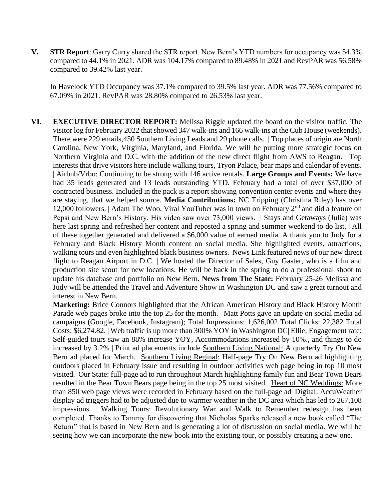**V. STR Report**: Garry Curry shared the STR report. New Bern's YTD numbers for occupancy was 54.3% compared to 44.1% in 2021. ADR was 104.17% compared to 89.48% in 2021 and RevPAR was 56.58% compared to 39.42% last year.

In Havelock YTD Occupancy was 37.1% compared to 39.5% last year. ADR was 77.56% compared to 67.09% in 2021. RevPAR was 28.80% compared to 26.53% last year.

**VI. EXECUTIVE DIRECTOR REPORT:** Melissa Riggle updated the board on the visitor traffic. The visitor log for February 2022 that showed 347 walk-ins and 166 walk-ins at the Cub House (weekends). There were 229 emails,450 Southern Living Leads and 29 phone calls. | Top places of origin are North Carolina, New York, Virginia, Maryland, and Florida. We will be putting more strategic focus on Northern Virginia and D.C. with the addition of the new direct flight from AWS to Reagan. | Top interests that drive visitors here include walking tours, Tryon Palace, bear maps and calendar of events. | Airbnb/Vrbo: Continuing to be strong with 146 active rentals. **Large Groups and Events:** We have had 35 leads generated and 13 leads outstanding YTD. February had a total of over \$37,000 of contracted business. Included in the pack is a report showing convention center events and where they are staying, that we helped source. **Media Contributions:** NC Tripping (Christina Riley) has over 12,000 followers. | Adam The Woo, Viral YouTuber was in town on February 2nd and did a feature on Pepsi and New Bern's History. His video saw over 73,000 views. | Stays and Getaways (Julia) was here last spring and refreshed her content and reposted a spring and summer weekend to do list. | All of these together generated and delivered a \$6,000 value of earned media. A thank you to Judy for a February and Black History Month content on social media. She highlighted events, attractions, walking tours and even highlighted black business owners. News Link featured news of our new direct flight to Reagan Airport in D.C. | We hosted the Director of Sales, Guy Gaster, who is a film and production site scout for new locations. He will be back in the spring to do a professional shoot to update his database and portfolio on New Bern. **News from The State:** February 25-26 Melissa and Judy will be attended the Travel and Adventure Show in Washington DC and saw a great turnout and interest in New Bern.

**Marketing:** Brice Connors highlighted that the African American History and Black History Month Parade web pages broke into the top 25 for the month. | Matt Potts gave an update on social media ad campaigns (Google, Facebook, Instagram); Total Impressions: 1,626,002 Total Clicks: 22,382 Total Costs: \$6,274.82. | Web traffic is up more than 300% YOY in Washington DC| Ellie: Engagement rate: Self-guided tours saw an 88% increase YOY, Accommodations increased by 10%., and things to do increased by 3.2% | Print ad placements include Southern Living National: A quarterly Try On New Bern ad placed for March. Southern Living Reginal: Half-page Try On New Bern ad highlighting outdoors placed in February issue and resulting in outdoor activities web page being in top 10 most visited. Our State: full-page ad to run throughout March highlighting family fun and Bear Town Bears resulted in the Bear Town Bears page being in the top 25 most visited. Heart of NC Weddings: More than 850 web page views were recorded in February based on the full-page ad| Digital: AccuWeather display ad triggers had to be adjusted due to warmer weather in the DC area which has led to 267,108 impressions. | Walking Tours: Revolutionary War and Walk to Remember redesign has been completed. Thanks to Tammy for discovering that Nicholas Sparks released a new book called "The Return" that is based in New Bern and is generating a lot of discussion on social media. We will be seeing how we can incorporate the new book into the existing tour, or possibly creating a new one.